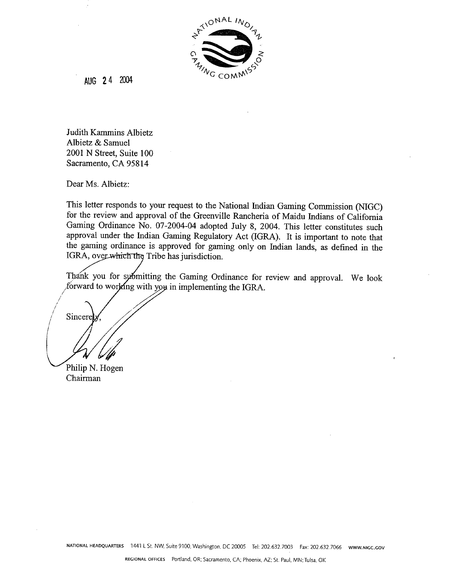

**AUG 2 4** *2004* 

Judith Kammins Albietz Albietz & Samuel 2001 N Street, Suite 100 Sacramento, CA 958 14

Dear Ms. Albietz:

This letter responds to your request to the National Indian Gaming Commission (NIGC) for the review and approval of the Greenville Rancheria of Maidu Indians of California Gaming Ordinance No. 07-2004-04 adopted July 8, 2004. This letter constitutes such approval under the Indian Gaming Regulatory Act (IGRA). It is important to note that the gaming ordinance is approved for gaming only on Indian lands, as defined in the IGRA, over which the Tribe has jurisdiction.

Thank you for symmitting the Gaming Ordinance for review and approval. We look forward to working with you in implementing the IGRA.

Philip N. Hogen Chairman

Sincere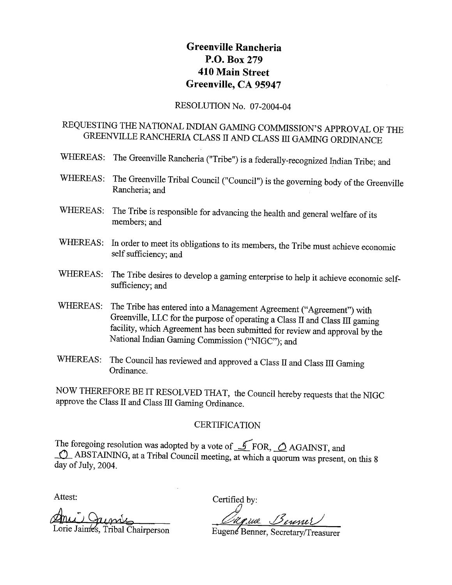# **Greenville Rancheria P.O. Box 279 410 Main Street Greenville, CA 95947**

#### RESOLUTION NO. 07-2004-04

# REQUESTING THE NATIONAL INDIAN GAMING COMMISSION'S APPROVAL OF THE GREENVILLE RANCHERJA CLASS **II** AND CLASS I11 GAMING ORDINANCE

- WHEREAS: The Greenville Rancheria ("Tribe") is a federally-recognized Indian Tribe; and
- WHEREAS: The Greenville Tribal Council ("Council") is the governing body of the Greenville Rancheria; and
- WHEREAS: The Tribe is responsible for advancing the health and general welfare of its members; and
- WHEREAS: In order to meet its obligations to its members, the Tribe must achieve economic self sufficiency; and
- WHEREAS: The Tribe desires to develop a gaming enterprise to help it achieve economic selfsufficiency; and
- WHEREAS: The Tribe has entered into a Management Agreement ("Agreement") with Greenville, LLC for the purpose of operating a Class II and Class III gaming facility, which Agreement has been submitted for review and approval by the National Indian Gaming Commission ("NIGC"); and
- WHEREAS: The Council has reviewed and approved a Class II and Class III Gaming Ordinance.

NOW THEREFORE BE IT RESOLVED THAT, the Council hereby requests that the NIGC approve the Class II and Class III Gaming Ordinance.

#### **CERTIFICATION**

The foregoing resolution was adopted by a vote of  $\mathcal{I}$  FOR,  $\mathcal{O}$  AGAINST, and  $\bigcirc$  ABSTAINING, at a Tribal Council meeting, at which a quorum was present, on this 8 day of July, 2004.

**C** 

Attest: Certified by:

Ani Qumber ~ Cherine Service ~ Service ~<br>Lorie Jaimes, Tribal Chairperson ~ Eugene Benner, Secretary/Treasurer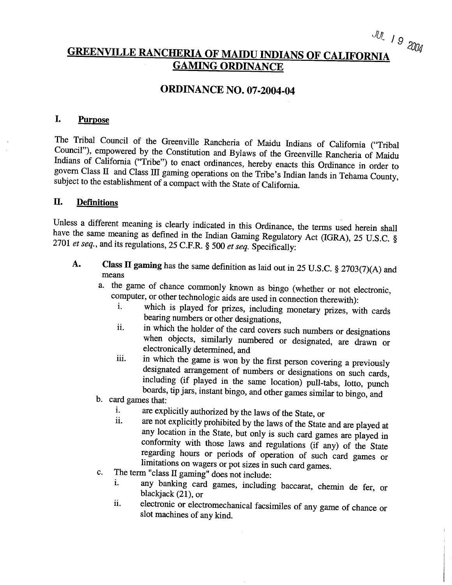# JUL 19 2004 **GREENVILLE RANCHERIA OF MAIDU INDIANS OF CALIFORNIA GAMING ORDINANCE**

## **ORDINANCE NO. 07-2004-04**

#### I. **Purpose**

The Tribal Council of the Greenville Rancheria of Maidu Indians of California ("Tribal Council"), empowered by the Constitution and Bylaws of the Greenville Rancheria of Maidu Indians of California ("Tribe") to enact ordinances, hereby enacts this Ordinance in order to govern Class 11 and Class III gaming operations on the Tribe's Indian lands in Teharna County, subject to the establishment of a compact with the State of California.

#### **11. Definitions**

Unless a different meaning is clearly indicated in this Ordinance, the terms used herein shall have the same meaning as defined in the Indian Gaming Regulatory Act (IGRA), 25 U.S.C. **5**  2701 *et* seq., and its regulations, 25 C.F.R. *5* 500 et *seq.* Specifically:

- **Class II gaming** has the same definition as laid out in 25 U.S.C.  $\frac{1}{2}$   $\frac{2702(7)}{4}$ means
	- a. the game of chance commonly known as bingo (whether or not electronic, computer, or other technologic aids are used in connection therewith):
		- i. which is played for prizes, including monetary prizes, with cards bearing numbers or other designations,
		- ii. in which the holder of the card covers such numbers or designations when objects, similarly numbered or designated, are drawn or electronically determined, and
		- iii. in which the game is won by the first person covering a previously designated arrangement of numbers or designations on such cards, including (if played in the same location) pull-tabs, lotto, punch boards, tip jars, instant bingo, and other games similar to bingo, and
	- b. card games that:
		- are explicitly authorized by the laws of the State, or i.
		- ii. are not explicitly prohibited by the laws of the State and are played at any location in the State, but only is such card games are played in conformity with those laws and regulations (if any) of the State regarding hours or periods of operation of such card games or limitations on wagers or pot sizes in such card games.
	- The term "class  $II$  gaming" does not include: c.
		- any banking card games, including baccarat, chemin de fer, or i. blackjack (21), or
		- **11.** electronic or electromechanical facsimiles of any game of chance or ii. slot machines of any kind.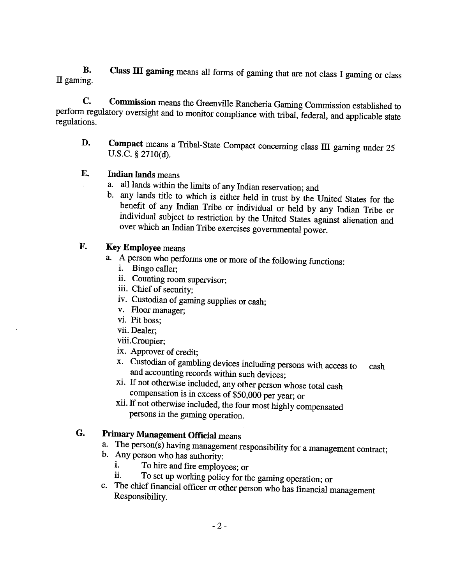**B. Class 111 gaming** means all forms of gaming that are not class I gaming or class **II** gaming.

**C. Commission** means the Greenville Rancheria Gaming Commission established to perform regulatory oversight and to monitor compliance with tribal, federal, and applicable state regulations.

**D.** Compact means a Tribal-State Compact concerning class III gaming under 25 U.S.C. § 2710(d).

#### **E. Indian lands** means

- a. all lands within the limits of any Indian reservation; and
- b. any lands title to which is either held in trust by the United States for the benefit of any Indian Tribe or individual or held by any Indian Tribe or individual subject to restriction by the United States against alienation and over which an Indian Tribe exercises governmental power.

### **F. Key Employee** means

- a. A person who performs one or more of the following functions:
	- i. Bingo caller;
	- ii. Counting room supervisor;
	- iii. Chief of security;
	- iv. Custodian of gaming supplies or cash;
	- v. Floor manager;
	- vi. Pit boss;
	- vii. Dealer;
	- viii.Croupier;
	- ix. Approver of credit;
	- x. Custodian of gambling devices including persons with access to cash and accounting records within such devices;
	- xi. If not otherwise included, any other person whose total cash compensation is in excess of \$50,000 per year; or
	- xii. If not otherwise included, the four most highly compensated persons in the gaming operation.

# **G. Primary Management Official** means

- a. The person(s) having management responsibility for a management contract;
- b. **Any** person who has authority:
	- **1.** To hire and fire employees; or i.
	- To set up working policy for the gaming operation; or ii.
- c. The chief financial officer or other person who has financial management Responsibility.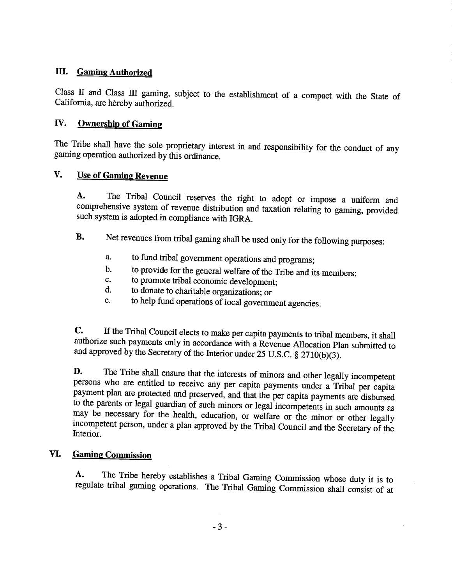#### **111. Gaming Authorized**

Class **II** and Class III gaming, subject to the establishment of a compact with the State of California, are hereby authorized.

#### **IV.** Ownership of Gaming

The Tribe shall have the sole proprietary interest in and responsibility for the conduct of any gaming operation authorized by this ordinance.

#### **V.** Use of Gaming Revenue

**A.** The Tribal Council reserves the right to adopt or impose a uniform and comprehensive system of revenue distribution and taxation relating to gaming, provided such system is adopted in compliance with IGRA.

- **B.** Net revenues from tribal gaming shall be used only for the following purposes:
	- a. to fund tribal government operations and programs;
	- b. to provide for the general welfare of the Tribe and its members;
	- c. to promote tribal economic development;
	- d. to donate to charitable organizations; or
	- e. to help fund operations of local government agencies.

**C.** If the Tribal Council elects to make per capita payments to tribal members, it shall authorize such payments only in accordance with a Revenue Allocation Plan submitted to and approved by the Secretary of the Interior under 25 U.S.C. **8** 2710(b)(3).

**D.** The Tribe shall ensure that the interests of minors and other legally incompetent persons who are entitled to receive any per capita payments under a Tribal per capita payment plan are protected and preserved, and that the per capita payments are disbursed to the parents or legal guardian of such minors or legal incompetents in such amounts as may be necessary for the health, education, or welfare or the minor or other legally incompetent person, under a plan approved by the Tribal Council and the Secretary of the Interior.

#### **VI. Gaming Commission**

**A.** The Tribe hereby establishes a Tribal Gaming Commission whose duty it is to regulate tribal gaming operations. The Tribal Gaming Commission shall consist of at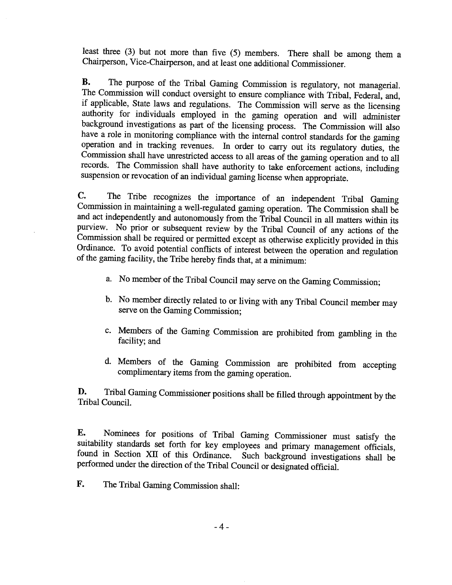least three **(3)** but not more than five (5) members. There shall be among them a Chairperson, Vice-Chairperson, and at least one additional Commissioner.

**B.** The purpose of the Tribal Gaming Commission is regulatory, not managerial. The Commission will conduct oversight to ensure compliance with Tribal, Federal, and, if applicable, State laws and regulations. The Commission will serve as the licensing authority for individuals employed in the gaming operation and will administer background investigations as part of the licensing process. The Commission will also have a role in monitoring compliance with the internal control standards for the gaming operation and in tracking revenues. In order to carry out its regulatory duties, the Commission shall have unrestricted access to all areas of the gaming operation and to all records. The Commission shall have authority to take enforcement actions, including suspension or revocation of an individual gaming license when appropriate.

**C,** The Tribe recognizes the importance of an independent Tribal Gaming Commission in maintaining a well-regulated gaming operation. The Commission shall be and act independently and autonomously from the Tribal Council in all matters within its purview. No prior or subsequent review by the Tribal Council of any actions of the Commission shall be required or permitted except as qtherwise explicitly provided in this Ordinance. To avoid potential conflicts of interest between the operation and regulation of the gaming facility, the Tribe hereby finds that, at a minimum:

- a. No member of the Tribal Council may serve on the Gaming Commission;
- b. No member directly related to or living with any Tribal Council member may serve on the Gaming Commission;
- c. Members of the Gaming Commission are prohibited from gambling in the facility; and
- d. Members of the Gaming Commission are prohibited from accepting complimentary items from the gaming operation.

**D.** Tribal Gaming Commissioner positions shall be filled through appointment by the Tribal Council.

**E.** Nominees for positions of Tribal Gaming Commissioner must satisfy the suitability standards set forth for key employees and primary management officials, found in Section XII of this Ordinance. Such background investigations shall be performed under the direction of the Tribal Council or designated official.

**I?.** The Tribal Gaming Commission shall: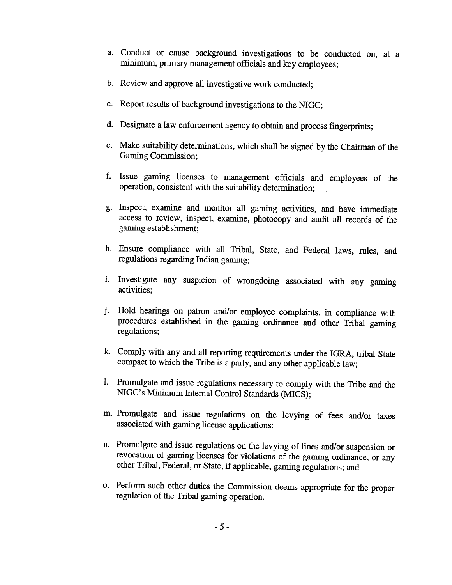- a. Conduct or cause background investigations to be conducted on, at a minimum, primary management officials and key employees;
- b. Review and approve all investigative work conducted;
- c. Report results of background investigations to the NIGC;
- d. Designate a law enforcement agency to obtain and process fingerprints;
- e. Make suitability determinations, which shall be signed by the Chairman of the Gaming Commission;
- f. Issue gaming licenses to management officials and employees of the operation, consistent with the suitability determination;
- g. Inspect, examine and monitor all gaming activities, and have immediate access to review, inspect, examine, photocopy and audit all records of the gaming establishment;
- h. Ensure compliance with all Tribal, State, and Federal laws, rules, and regulations regarding Indian gaming;
- i. Investigate any suspicion of wrongdoing associated with any gaming activities;
- j. Hold hearings on patron and/or employee complaints, in compliance with procedures established in the gaming ordinance and other Tribal gaming regulations;
- k. Comply with any and all reporting requirements under the IGRA, tribal-State compact to which the Tribe is a party, and any other applicable law;
- 1. Promulgate and issue regulations necessary to comply with the Tribe and the NIGC's Minimum Internal Control Standards (MICS);
- m. Promulgate and issue regulations on the levying of fees and/or taxes associated with gaming license applications;
- n. Promulgate and issue regulations on the levying of fines and/or suspension or revocation of gaming licenses for violations of the gaming ordinance, or any other Tribal, Federal, or State, if applicable, gaming regulations; and
- o. Perform such other duties the Commission deems appropriate for the proper regulation of the Tribal gaming operation.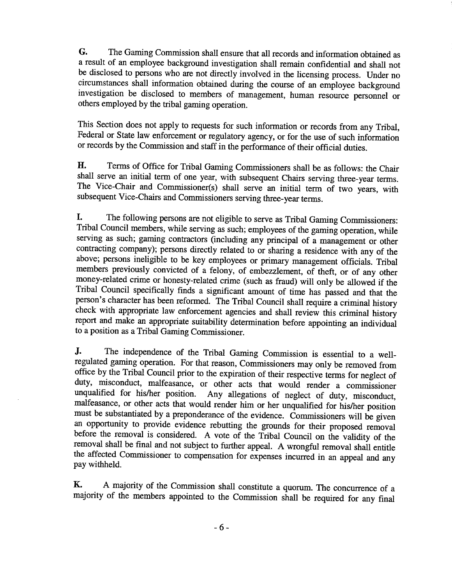*G.* The Gaming Commission shall ensure that all records and information obtained as a result of an employee background investigation shall remain confidential and shall not be disclosed to persons who are not directly involved in the licensing process. Under no circumstances shall information obtained during the course of an employee background investigation be disclosed to members of management, human resource personnel or others employed by the tribal gaming operation.

This Section does not apply to requests for such information or records from any Tribal, Federal or State law enforcement or regulatory agency, or for the use of such information or records by the Commission and staff in the performance of their official duties.

**H.** Terms of Office for Tribal Gaming Commissioners shall be as follows: the Chair shall serve an initial term of one year, with subsequent Chairs serving three-year terms. The Vice-Chair and Comrnissioner(s) shall serve **an** initial term of two years, with subsequent Vice-Chairs and Commissioners serving three-year terns.

**I.** The following persons are not eligible to serve as Tribal Gaming Commissioners: Tribal Council members, whle serving **as** such; employees of the gaming operation, while serving as such; gaming contractors (including any principal of a management or other contracting company); persons directly related to or sharing a residence with any of the above; persons ineligible to be key employees or primary management officials. Tribal members previously convicted of a felony, of embezzlement, of theft, or of any other money-related crime or honesty-related crime (such as fraud) will only be allowed if the Tribal Council specifically finds a significant amount of time has passed and that the person's character has been reformed. The Tribal Council shall require a criminal history check with appropriate law enforcement agencies and shall review this criminal history report and make an appropriate suitability determination before appointing an individual to a position as a Tribal Gaming Commissioner.

**J.** The independence of the Tribal Gaming Commission is essential to a wellregulated gaming operation. For that reason, Commissioners may only be removed from office by the Tribal Council prior to the expiration of their respective terms for neglect of duty, misconduct, malfeasance, or other acts that would render a commissioner unqualified for his/her position. Any allegations of neglect of duty, misconduct, malfeasance, or other acts that would render him or her unqualified for his/her position must be substantiated by a preponderance of the evidence. Commissioners will be given an opportunity to provide evidence rebutting the grounds for their proposed removal before the removal is considered. A vote of the Tribal Council on the validity of the removal shall be final and not subject to further appeal. **A** wrongful removal shall entitle the affected Commissioner to compensation for expenses incurred in an appeal and any pay withheld.

**K. A** majority of the Commission shall constitute a quorum. The concurrence of a majority of the members appointed to the Commission shall be required for any final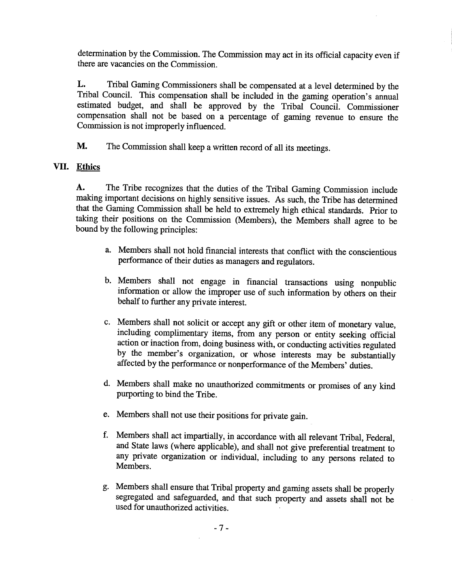determination by the Commission. The Commission may act in its official capacity even if there are vacancies on the Commission.

**L.** Tribal Gaming Commissioners shall be compensated at a level determined by the Tribal Council. This compensation shall be included in the gaming operation's annual estimated budget, and shall be approved by the Tribal Council. Commissioner compensation shall not be based on a percentage of gaming revenue to ensure the Commission is not improperly influenced.

**M.** The Commission shall keep a written record of all its meetings.

#### **VII. Ethics**

**A.** The Tribe recognizes that the duties of the Tribal Gaming Commission include making important decisions on highly sensitive issues. As such, the Tribe has determined that the Gaming Commission shall be held to extremely high ethical standards. Prior to taking their positions on the Commission (Members), the Members shall agree to be bound by the following principles:

- a. Members shall not hold financial interests that conflict with the conscientious performance of their duties as managers and regulators.
- b. Members shall not engage in financial transactions using nonpublic information or allow the improper use of such information by others on their behalf to further any private interest.
- c. Members shall not solicit or accept any **gift** or other item of monetary value, including complimentary items, from any person or entity seeking official action or inaction from, doing business with, or conducting activities regulated by the member's organization, or whose interests may be substantially affected by the performance or nonperformance of the Members' duties.
- d. Members shall make no unauthorized commitments or promises of any kind purporting to bind the Tribe.
- e. Members shall not use their positions for private gain.
- f. Members shall act impartially, in accordance with all relevant Tribal, Federal, and State laws (where applicable), and shall not give preferential treatment to any private organization or individual, including to any persons related to Members.
- g. Members shall ensure that Tribal property and gaming assets shall be properly segregated and safeguarded, and that such property and assets shall not be used for unauthorized activities.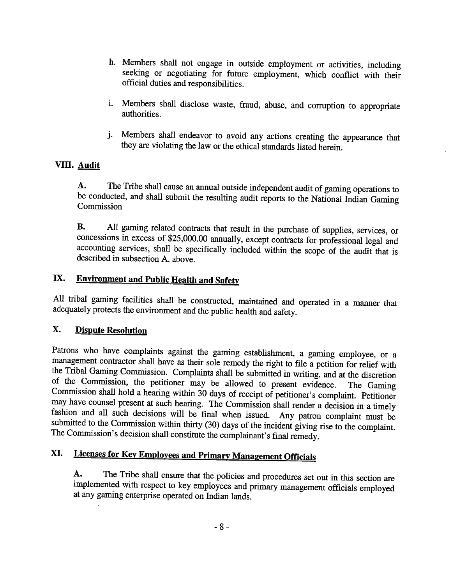- h. Members shall not engage in outside employment or activities, including seeking or negotiating for future employment, which conflict with their official duties and responsibilities.
- i. Members shall disclose waste, fraud, abuse, and corruption to appropriate authorities.
- j. Members shall endeavor to avoid any actions creating the appearance that they are violating the law or the ethical standards listed herein.

#### VIII. **Audit**

A. The Tribe shall cause an annual outside independent audit of gaming operations to be conducted, and shall submit the resulting audit reports to the National Indian Gaming Commission

**B.** All gaming related contracts that result in the purchase of supplies, services, or concessions in excess of \$25,000.00 annually, except contracts for professional legal and accounting services, shall be specifically included within the scope of the audit that is described in subsection A. above.

# **IX. Environment and Public Health and Safety**

All tribal gaming facilities shall be constructed, maintained and operated in a manner that adequately protects the environment and the public health and safety.

#### **X.** Dispute Resolution

Patrons who have complaints against the gaming establishment, a gaming employee, or a management contractor shall have as their sole remedy the right to file a petition for relief with the Tribal Gaming Commission. Complaints shall be submitted in writing, and at the discretion of the Commission, the petitioner may be allowed to present evidence. The Gaming Commission shall hold a hearing within **30** days of receipt of petitioner's complaint. Petitioner may have counsel present at such hearing. The Commission shall render a decision in a timely fashion and all such decisions will be final when issued. Any patron complaint must be submitted to the Commission within thirty (30) days of the incident giving rise to the complaint. The Commission's decision shall constitute the complainant's final remedy.

# **XI.** Licenses for Key Employees and Primary Management Officials

**A.** The Tribe shall ensure that the policies and procedures set out in this section are implemented with respect to key employees and primary management officials employed at any gaming enterprise operated on **Indian** lands.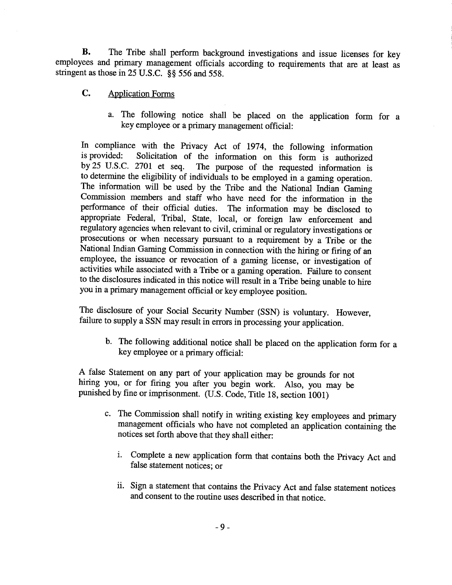**B.** The Tribe shall perform background investigations and issue licenses for key employees and primary management officials according to requirements that are at least as stringent as those in 25 U.S.C. **\$8** 556 and 558.

- **C.** Application Forms
	- a. The following notice shall be placed on the application form for a key employee or a primary management official:

In compliance with the Privacy Act of 1974, the following information is provided: Solicitation of the information on this form is authorized by25 U.S.C. 2701 et seq. The purpose of the requested information is to determine the eligibility of individuals to be employed in a gaming operation. The information will be used by the Tribe and the National Indian Gaming Commission members and staff who have need for the information in the performance of their official duties. The information may be disclosed to appropriate Federal, Tribal, State, local, or foreign law enforcement and regulatory agencies when relevant to civil, criminal or regulatory investigations or prosecutions or when necessary pursuant to a requirement by a Tribe or the National Indian Gaming Commission in connection with the hiring or firing of an employee, the issuance or revocation of a gaming license, or investigation of activities while associated with a Tribe or a gaming operation. Failure to consent to the disclosures indicated in this notice will result in a Tribe being unable to hire you in a primary management official or key employee position.

The disclosure of your Social Security Number (SSN) is voluntary. However, failure to supply a SSN may result in errors in processing your application.

b. The following additional notice shall be placed on the application form for a key employee or a primary official:

**A** false Statement on any part of your application may be grounds for not hiring you, or for firing you after you begin work. Also, you may be punished by fine or imprisonment. (U.S. Code, Title 18, section 1001)

- c. The Commission shall notify in writing existing key employees and primary management officials who have not completed an application containing the notices set forth above that they shall either:
	- i. Complete a new application form that contains both the Privacy Act and false statement notices; or
	- ii. Sign a statement that contains the Privacy Act and false statement notices and consent to the routine uses described in that notice.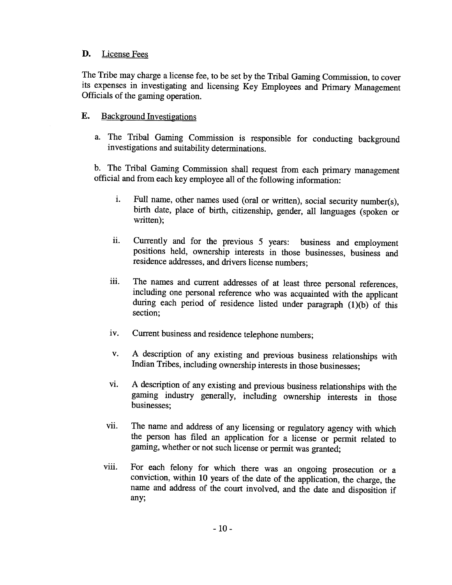#### D. License Fees

The Tribe may charge a license fee, to be set by the Tribal Gaming Commission, to cover its expenses in investigating and licensing Key Employees and Primary Management Officials of the gaming operation.

#### E. Background Investigations

a. The Tribal Gaming Commission is responsible for conducting background investigations and suitability determinations.

b. The Tribal Gaming Commission shall request from each primary management official and from each key employee all of the following information:

- i. Full name, other names used (oral or written), social security number(s), birth date, place of birth, citizenship, gender, all languages (spoken or written);
- ii. Currently and for the previous *5* years: business and employment positions held, ownership interests in those businesses, business and residence addresses, and drivers license numbers;
- iii. The names and current addresses of at least **three** personal references, including one personal reference who was acquainted with the applicant during each period of residence listed under paragraph (1)(b) of this section;
- iv. Current business and residence telephone numbers;
- v. **A** description of any existing and previous business relationships with Indian Tribes, including ownership interests in those businesses;
- vi. **A** description of any existing and previous business relationships with the gaming industry generally, including ownership interests in those businesses;
- vii. The name and address of any licensing or regulatory agency with which the person has filed an application for a license or pennit related to gaming, whether or not such license or permit was granted;
- viii. For each felony for which there was an ongoing prosecution or a conviction, within 10 years of the date of the application, the charge, the name and address of the court involved, and the date and disposition if any;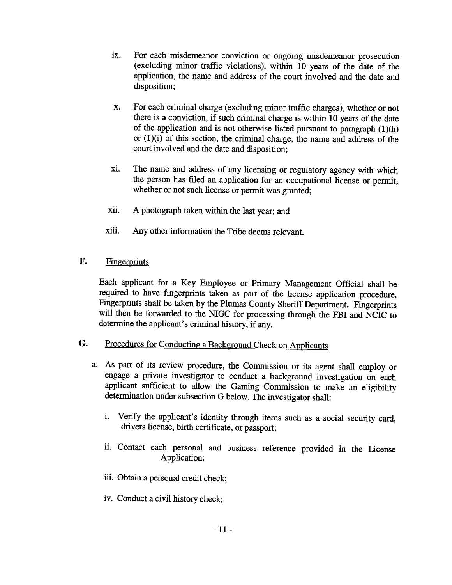- ix. For each misdemeanor conviction or ongoing misdemeanor prosecution (excluding minor traffic violations), within 10 years of the date of the application, the name and address of the court involved and the date and disposition;
- **x.** For each criminal charge (excluding minor traffic charges), whether or not there is a conviction, if such criminal charge is within 10 years of the date of the application and is not otherwise listed pursuant to paragraph  $(1)(h)$ or  $(1)(i)$  of this section, the criminal charge, the name and address of the court involved and the date and disposition;
- xi. The name and address of any licensing or regulatory agency with which the person has filed an application for an occupational license or permit, whether or not such license or permit was granted;
- xii. **A** photograph taken within the last year; and
- xiii. Any other information the Tribe deems relevant.
- F. Fingerprints

Each applicant for a Key Employee or Primary Management Official shall be required to have fingerprints taken as part of the license application procedure. Fingerprints shall be taken by the Plumas County Sheriff Department. Fingerprints will then be forwarded to the NIGC for processing through the FBI and NCIC to determine the applicant's criminal history, if any.

# *G.* Procedures for Conducting a Background Check on Applicants

- a. As part of its review procedure, the Commission or its agent shall employ or engage a private investigator to conduct a background investigation on each applicant sufficient to allow the Gaming Commission to make an eligibility determination under subsection G below. The investigator shall:
	- i. Verify the applicant's identity through items such as a social security card, drivers license, birth certificate, or passport;
	- ii. Contact each personal and business reference provided in the License Application;
	- iii. Obtain a personal credit check;
	- iv. Conduct a civil history check;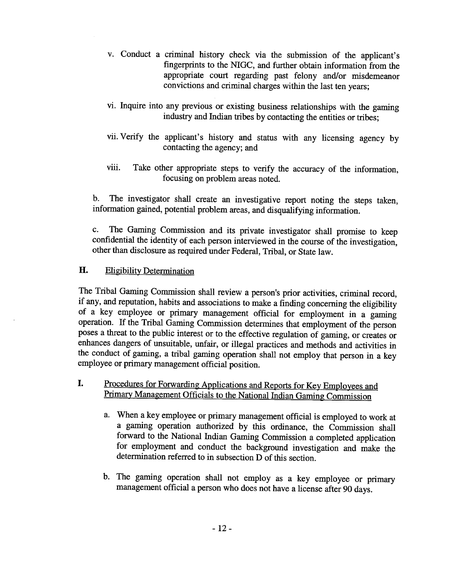- v. Conduct a criminal history check via the submission of the applicant's fingerprints to the NIGC, and further obtain information from the appropriate court regarding past felony and/or misdemeanor convictions and criminal charges within the last ten years;
- vi. Inquire into any previous or existing business relationships with the gaming industry and Indian tribes by contacting the entities or tribes;
- vii. Verify the applicant's history and status with any licensing agency by contacting the agency; and
- viii. Take other appropriate steps to verify the accuracy of the information, focusing on problem areas noted.

b. The investigator shall create an investigative report noting the steps taken, information gained, potential problem areas, and disqualifying information.

*c.* The Gaming Commission and its private investigator shall promise to keep confidential the identity of each person interviewed in the course of the investigation, other than disclosure as required under Federal, Tribal, or State law.

#### H. Eligibility Determination

The Tribal Gaming Commission shall review a person's prior activities, criminal record, if any, and reputation, habits and associations to make a finding concerning the eligibility of a key employee or primary management official for employment in a gaming operation. If the Tribal Gaming Commission determines that employment of the person poses a threat to the public interest or to the effective regulation of gaming, or creates or enhances dangers of unsuitable, unfair, or illegal practices and methods and activities in the conduct of gaming, a tribal gaming operation shall not employ that person in a key employee or primary management official position.

#### **I.** Procedures for Forwarding Applications and Reports for Key Employees and Primary Management Officials to the National Indian Gaming Commission

- a. When a key employee or primary management official is employed to work at a gaming operation authorized by this ordinance, the Commission shall forward to the National Indian Gaming Commission a completed application for employment and conduct the background investigation and make the determination referred to in subsection D of this section.
- b. The gaming operation shall not employ as a key employee or primary management official a person who does not have a license after 90 days.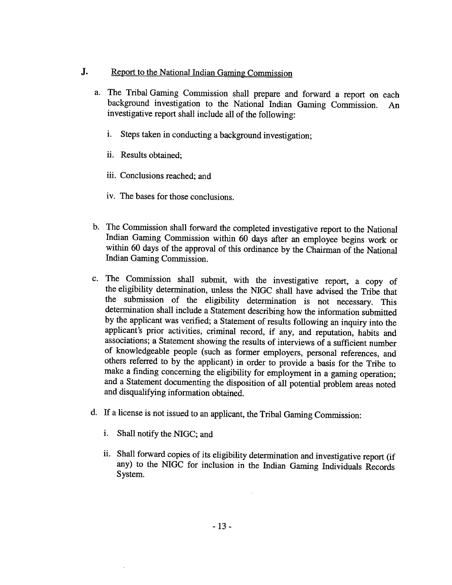- **J.** Report to the National Indian Gaming Commission
	- a. The Tribal Gaming Commission shall prepare and forward a report on each background investigation to the National Indian Gaming Commission. An investigative report shall include all of the following:
		- i. Steps taken in conducting a background investigation;
		- ii. Results obtained;
		- iii. Conclusions reached; and
		- iv. The bases for those conclusions.
	- b. The Commission shall forward the completed investigative report to the National Indian Gaming Commission within 60 days after an employee begins work or within 60 days of the approval of this ordinance by the Chairman of the National Indian Gaming Commission.
	- c. The Commission shall submit, with the investigative report, a copy of the eligibility determination, unless the NIGC shall have advised the Tribe that the submission of the eligibility determination is not necessary. This determination shall include a Statement describing how the information submitted by the applicant was verified; a Statement of results following an inquiry into the applicant's prior activities, criminal record, if any, and reputation, habits and associations; a Statement showing the results of interviews of a sufficient number of knowledgeable people (such as former employers, personal references, and others referred to by the applicant) in order to provide a basis for the Tribe to make a finding concerning the eligibility for employment in a gaming operation; and a Statement documenting the disposition of all potential problem areas noted and disqualifying information obtained.
	- d. If a license is not issued to an applicant, the Tribal Gaming Commission:
		- i. Shall notify the **NIGC;** and
		- ii. Shall forward copies of its eligibility determination and investigative report (if any) to the NIGC for inclusion in the Indian Gaming Individuals Records System.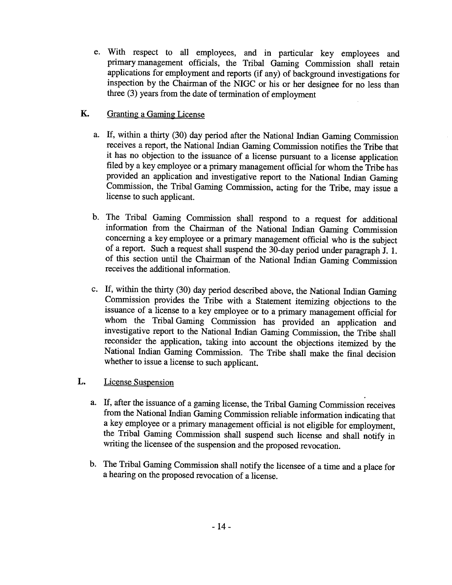e. With respect to all employees, and in particular key employees and primarymanagement officials, the Tribal Gaming Commission shall retain applications for employment and reports (if any) of background investigations for inspection by the Chairman of the NIGC or his or her designee for no less than three (3) years from the date of termination of employment

#### K. Granting a Gaming License

- a. If, within a thirty **(30)** day period after the National Indian Gaming Commission receives a report, the National Indian Gaming Commission notifies the Tribe that it has no objection to the issuance of a license pursuant to a license application filed by a key employee or a primary management official for whom the Tribe has provided an application and investigative report to the National Indian Gaming Commission, the Tribal Gaming Commission, acting for the Tribe, may issue a license to such applicant.
- b. The Tribal Gaming Commission shall respond to a request for additional information from the Chairman of the National Indian Gaming Commission concerning a key employee or a primary management official who is the subject of a report. Such a request shall suspend the 30-day period under paragraph J. 1. of this section until the Chairman of the National Indian Gaming Commission receives the additional information.
- c. If, within the thirty (30) day period described above, the National Indian Gaming Commission provides the Tribe with a Statement itemizing objections to the issuance of a license to a key employee or to a primary management official for whom the Tribal Gaming Commission has provided an application and investigative report to the National Indian Gaming Commission, the Tribe shall reconsider the application, taking into account the objections itemized by the National Indian Gaming Commission. The Tribe shall make the final decision whether to issue a license to such applicant.

#### L. License Suspension

- a. If, after the issuance of a gaming license, the Tribal Gaming Commission receives from the National Indian Gaming Commission reliable information indicating that a key employee or a primary management official is not eligible for employment, the Tribal Gaming Commission shall suspend such license and shall notify in writing the licensee of the suspension and the proposed revocation.
- b. The Tribal Gaming Commission shall notify the licensee of a time and a place for a hearing on the proposed revocation of a license.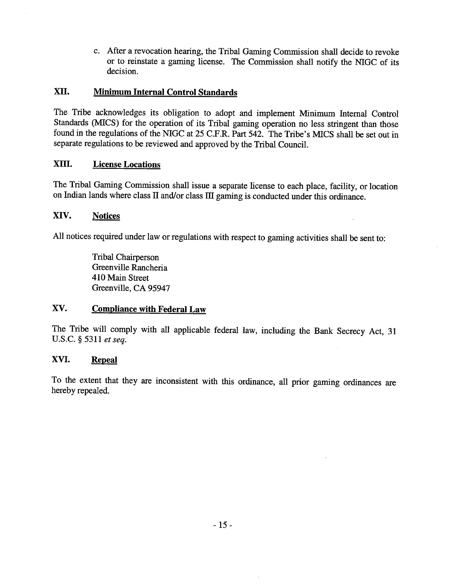c. After a revocation hearing, the Tribal Gaming Commission shall decide to revoke or to reinstate a gaming license. The Commission shall notify the **NIGC** of its decision.

#### **XII. Minimum Internal Control Standards**

The Tribe acknowledges its obligation to adopt and implement Minimum Internal Control Standards (MICS) for the operation of its Tribal gaming operation no less stringent than those found in the regulations of the **NIGC** at 25 C.F.R. Part 542. The Tribe's MICS shall be set out in separate regulations to be reviewed and approved by the Tribal Council.

#### **XIII. License Locations**

The Tribal Gaming Commission shall issue a separate license to each place, facility, or location on Indian lands where class II and/or class III gaming is conducted under this ordinance.

#### **XIV. Notices**

All notices required under law or regulations with respect to gaming activities shall be sent to:

Tribal Chairperson Greenville Rancheria 410 Main Street Greenville, CA 95947

#### **XV.** Compliance with Federal Law

The Tribe will comply with all applicable federal law, including the Bank Secrecy Act, **31**  U.S.C. 53 11 *et seq.* 

#### **XVI. Repeal**

To the extent that they are inconsistent with this ordinance, all prior gaming ordinances are hereby repealed.